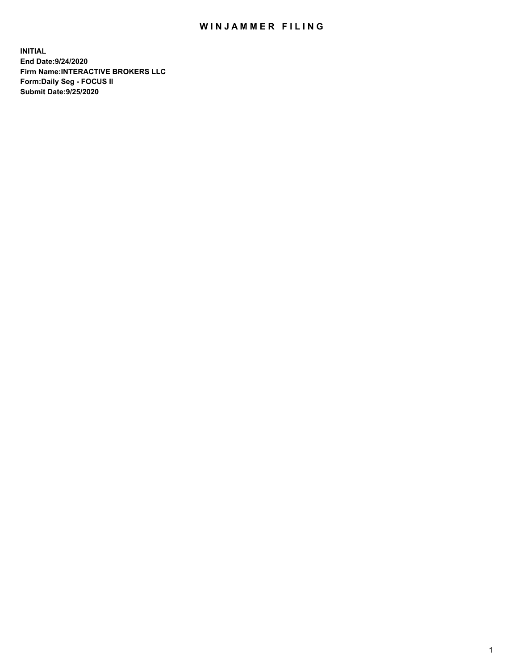## WIN JAMMER FILING

**INITIAL End Date:9/24/2020 Firm Name:INTERACTIVE BROKERS LLC Form:Daily Seg - FOCUS II Submit Date:9/25/2020**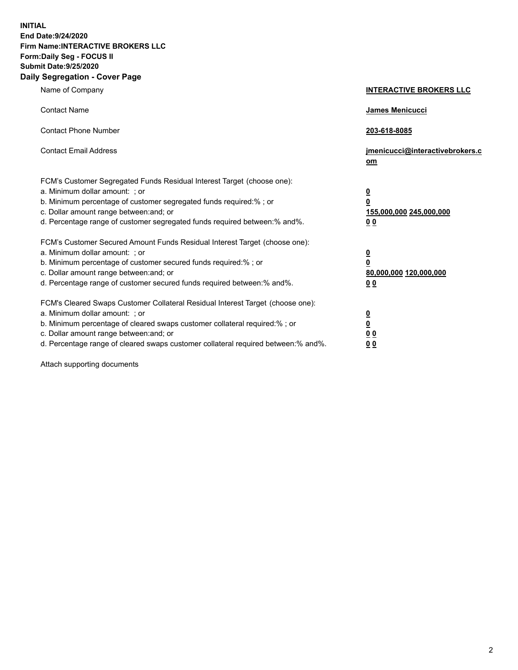**INITIAL End Date:9/24/2020 Firm Name:INTERACTIVE BROKERS LLC Form:Daily Seg - FOCUS II Submit Date:9/25/2020 Daily Segregation - Cover Page**

| Name of Company                                                                                                                                                                                                                                                                                                                | <b>INTERACTIVE BROKERS LLC</b>                                                   |
|--------------------------------------------------------------------------------------------------------------------------------------------------------------------------------------------------------------------------------------------------------------------------------------------------------------------------------|----------------------------------------------------------------------------------|
| <b>Contact Name</b>                                                                                                                                                                                                                                                                                                            | James Menicucci                                                                  |
| <b>Contact Phone Number</b>                                                                                                                                                                                                                                                                                                    | 203-618-8085                                                                     |
| <b>Contact Email Address</b>                                                                                                                                                                                                                                                                                                   | jmenicucci@interactivebrokers.c<br>om                                            |
| FCM's Customer Segregated Funds Residual Interest Target (choose one):<br>a. Minimum dollar amount: ; or<br>b. Minimum percentage of customer segregated funds required:% ; or<br>c. Dollar amount range between: and; or<br>d. Percentage range of customer segregated funds required between:% and%.                         | <u>0</u><br>$\overline{\mathbf{0}}$<br>155,000,000 245,000,000<br>0 <sub>0</sub> |
| FCM's Customer Secured Amount Funds Residual Interest Target (choose one):<br>a. Minimum dollar amount: ; or<br>b. Minimum percentage of customer secured funds required:% ; or<br>c. Dollar amount range between: and; or<br>d. Percentage range of customer secured funds required between:% and%.                           | <u>0</u><br>$\overline{\mathbf{0}}$<br>80,000,000 120,000,000<br>0 <sub>0</sub>  |
| FCM's Cleared Swaps Customer Collateral Residual Interest Target (choose one):<br>a. Minimum dollar amount: ; or<br>b. Minimum percentage of cleared swaps customer collateral required:% ; or<br>c. Dollar amount range between: and; or<br>d. Percentage range of cleared swaps customer collateral required between:% and%. | <u>0</u><br>$\underline{\mathbf{0}}$<br>0 <sub>0</sub><br>0 <sub>0</sub>         |

Attach supporting documents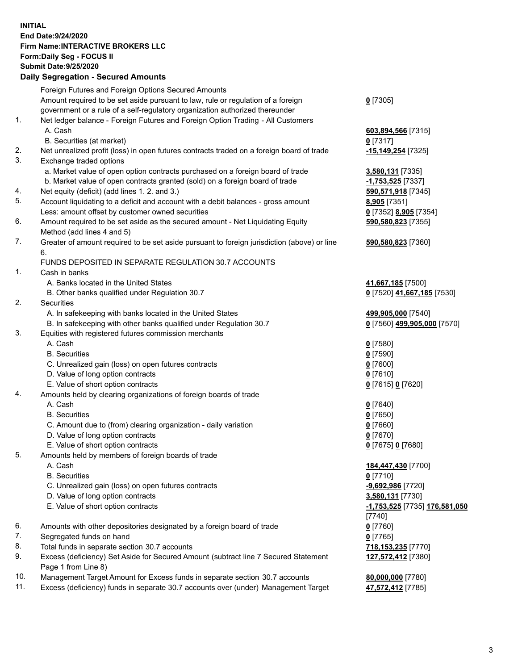**INITIAL End Date:9/24/2020 Firm Name:INTERACTIVE BROKERS LLC Form:Daily Seg - FOCUS II Submit Date:9/25/2020 Daily Segregation - Secured Amounts**

|     | Daily Segregation - Secureu Amounts                                                         |                                      |
|-----|---------------------------------------------------------------------------------------------|--------------------------------------|
|     | Foreign Futures and Foreign Options Secured Amounts                                         |                                      |
|     | Amount required to be set aside pursuant to law, rule or regulation of a foreign            | $0$ [7305]                           |
|     | government or a rule of a self-regulatory organization authorized thereunder                |                                      |
| 1.  | Net ledger balance - Foreign Futures and Foreign Option Trading - All Customers             |                                      |
|     | A. Cash                                                                                     | 603,894,566 [7315]                   |
|     | B. Securities (at market)                                                                   | $0$ [7317]                           |
| 2.  | Net unrealized profit (loss) in open futures contracts traded on a foreign board of trade   | -15,149,254 [7325]                   |
| 3.  | Exchange traded options                                                                     |                                      |
|     | a. Market value of open option contracts purchased on a foreign board of trade              | 3,580,131 [7335]                     |
|     | b. Market value of open contracts granted (sold) on a foreign board of trade                | -1,753,525 [7337]                    |
| 4.  | Net equity (deficit) (add lines 1. 2. and 3.)                                               | 590,571,918 [7345]                   |
| 5.  | Account liquidating to a deficit and account with a debit balances - gross amount           | <b>8,905</b> [7351]                  |
|     | Less: amount offset by customer owned securities                                            | 0 [7352] 8,905 [7354]                |
| 6.  | Amount required to be set aside as the secured amount - Net Liquidating Equity              | 590,580,823 [7355]                   |
|     | Method (add lines 4 and 5)                                                                  |                                      |
| 7.  | Greater of amount required to be set aside pursuant to foreign jurisdiction (above) or line | 590,580,823 [7360]                   |
|     | 6.                                                                                          |                                      |
|     | FUNDS DEPOSITED IN SEPARATE REGULATION 30.7 ACCOUNTS                                        |                                      |
| 1.  | Cash in banks                                                                               |                                      |
|     | A. Banks located in the United States                                                       | 41,667,185 [7500]                    |
|     | B. Other banks qualified under Regulation 30.7                                              | 0 [7520] 41,667,185 [7530]           |
| 2.  | Securities                                                                                  |                                      |
|     | A. In safekeeping with banks located in the United States                                   | 499,905,000 [7540]                   |
|     | B. In safekeeping with other banks qualified under Regulation 30.7                          | 0 [7560] 499,905,000 [7570]          |
| 3.  | Equities with registered futures commission merchants                                       |                                      |
|     | A. Cash                                                                                     | $0$ [7580]                           |
|     | <b>B.</b> Securities                                                                        | $0$ [7590]                           |
|     | C. Unrealized gain (loss) on open futures contracts                                         | $0$ [7600]                           |
|     | D. Value of long option contracts                                                           | $0$ [7610]                           |
|     | E. Value of short option contracts                                                          | 0 [7615] 0 [7620]                    |
| 4.  | Amounts held by clearing organizations of foreign boards of trade                           |                                      |
|     | A. Cash                                                                                     | $Q$ [7640]                           |
|     | <b>B.</b> Securities                                                                        | $0$ [7650]                           |
|     | C. Amount due to (from) clearing organization - daily variation                             | $0$ [7660]                           |
|     | D. Value of long option contracts                                                           | $0$ [7670]                           |
| 5.  | E. Value of short option contracts                                                          | 0 [7675] 0 [7680]                    |
|     | Amounts held by members of foreign boards of trade                                          |                                      |
|     | A. Cash<br><b>B.</b> Securities                                                             | 184,447,430 [7700]<br>$0$ [7710]     |
|     | C. Unrealized gain (loss) on open futures contracts                                         | -9,692,986 [7720]                    |
|     | D. Value of long option contracts                                                           | 3,580,131 [7730]                     |
|     | E. Value of short option contracts                                                          | <u>-1,753,525</u> [7735] 176,581,050 |
|     |                                                                                             | $[7740]$                             |
| 6.  | Amounts with other depositories designated by a foreign board of trade                      | $0$ [7760]                           |
| 7.  | Segregated funds on hand                                                                    | $0$ [7765]                           |
| 8.  | Total funds in separate section 30.7 accounts                                               | 718, 153, 235 [7770]                 |
| 9.  | Excess (deficiency) Set Aside for Secured Amount (subtract line 7 Secured Statement         | 127,572,412 [7380]                   |
|     | Page 1 from Line 8)                                                                         |                                      |
| 10. | Management Target Amount for Excess funds in separate section 30.7 accounts                 | 80,000,000 [7780]                    |
| 11. | Excess (deficiency) funds in separate 30.7 accounts over (under) Management Target          | 47,572,412 [7785]                    |
|     |                                                                                             |                                      |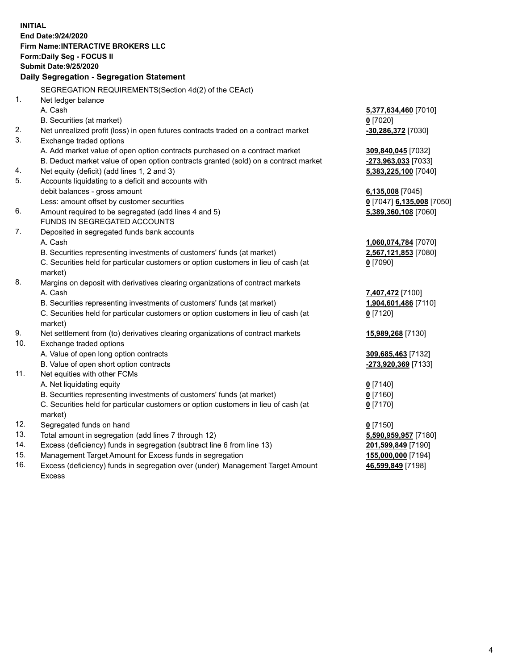**INITIAL End Date:9/24/2020 Firm Name:INTERACTIVE BROKERS LLC Form:Daily Seg - FOCUS II Submit Date:9/25/2020 Daily Segregation - Segregation Statement** SEGREGATION REQUIREMENTS(Section 4d(2) of the CEAct) 1. Net ledger balance A. Cash **5,377,634,460** [7010] B. Securities (at market) **0** [7020] 2. Net unrealized profit (loss) in open futures contracts traded on a contract market **-30,286,372** [7030] 3. Exchange traded options A. Add market value of open option contracts purchased on a contract market **309,840,045** [7032] B. Deduct market value of open option contracts granted (sold) on a contract market **-273,963,033** [7033] 4. Net equity (deficit) (add lines 1, 2 and 3) **5,383,225,100** [7040] 5. Accounts liquidating to a deficit and accounts with debit balances - gross amount **6,135,008** [7045] Less: amount offset by customer securities **0** [7047] **6,135,008** [7050] 6. Amount required to be segregated (add lines 4 and 5) **5,389,360,108** [7060] FUNDS IN SEGREGATED ACCOUNTS 7. Deposited in segregated funds bank accounts A. Cash **1,060,074,784** [7070] B. Securities representing investments of customers' funds (at market) **2,567,121,853** [7080] C. Securities held for particular customers or option customers in lieu of cash (at market) **0** [7090] 8. Margins on deposit with derivatives clearing organizations of contract markets A. Cash **7,407,472** [7100] B. Securities representing investments of customers' funds (at market) **1,904,601,486** [7110] C. Securities held for particular customers or option customers in lieu of cash (at market) **0** [7120] 9. Net settlement from (to) derivatives clearing organizations of contract markets **15,989,268** [7130] 10. Exchange traded options A. Value of open long option contracts **309,685,463** [7132] B. Value of open short option contracts **-273,920,369** [7133] 11. Net equities with other FCMs A. Net liquidating equity **0** [7140] B. Securities representing investments of customers' funds (at market) **0** [7160] C. Securities held for particular customers or option customers in lieu of cash (at market) **0** [7170] 12. Segregated funds on hand **0** [7150] 13. Total amount in segregation (add lines 7 through 12) **5,590,959,957** [7180] 14. Excess (deficiency) funds in segregation (subtract line 6 from line 13) **201,599,849** [7190] 15. Management Target Amount for Excess funds in segregation **155,000,000** [7194] **46,599,849** [7198]

16. Excess (deficiency) funds in segregation over (under) Management Target Amount Excess